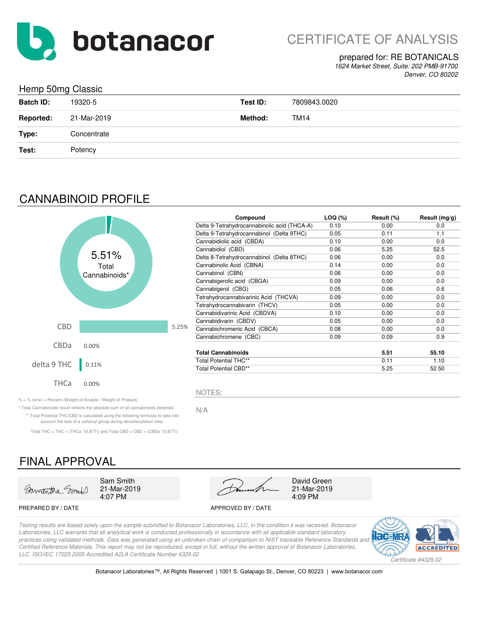

#### prepared for: RE BOTANICALS

*1624 Market Street, Suite: 202 PMB-91700 Denver, CO 80202*

### Hemp 50mg Classic

| and the contract of the contract of the<br>ັ |             |          |              |
|----------------------------------------------|-------------|----------|--------------|
| <b>Batch ID:</b>                             | 19320-5     | Test ID: | 7809843.0020 |
| <b>Reported:</b>                             | 21-Mar-2019 | Method:  | TM14         |
| Type:                                        | Concentrate |          |              |
| Test:                                        | Potency     |          |              |

# CANNABINOID PROFILE



| Compound                                     | LOQ (%) | Result (%) | Result $(mg/g)$ |
|----------------------------------------------|---------|------------|-----------------|
| Delta 9-Tetrahydrocannabinolic acid (THCA-A) | 0.10    | 0.00       | 0.0             |
| Delta 9-Tetrahydrocannabinol (Delta 9THC)    | 0.05    | 0.11       | 1.1             |
| Cannabidiolic acid (CBDA)                    | 0.10    | 0.00       | 0.0             |
| Cannabidiol (CBD)                            | 0.06    | 5.25       | 52.5            |
| Delta 8-Tetrahydrocannabinol (Delta 8THC)    | 0.06    | 0.00       | 0.0             |
| Cannabinolic Acid (CBNA)                     | 0.14    | 0.00       | 0.0             |
| Cannabinol (CBN)                             | 0.06    | 0.00       | 0.0             |
| Cannabigerolic acid (CBGA)                   | 0.09    | 0.00       | 0.0             |
| Cannabigerol (CBG)                           | 0.05    | 0.06       | 0.6             |
| Tetrahydrocannabivarinic Acid (THCVA)        | 0.09    | 0.00       | 0.0             |
| Tetrahydrocannabivarin (THCV)                | 0.05    | 0.00       | 0.0             |
| Cannabidivarinic Acid (CBDVA)                | 0.10    | 0.00       | 0.0             |
| Cannabidivarin (CBDV)                        | 0.05    | 0.00       | 0.0             |
| Cannabichromenic Acid (CBCA)                 | 0.08    | 0.00       | 0.0             |
| Cannabichromene (CBC)                        | 0.09    | 0.09       | 0.9             |
| Total Cannabinoids                           |         | 5.51       | 55.10           |
| <b>Total Potential THC**</b>                 |         | 0.11       | 1.10            |
| <b>Total Potential CBD**</b>                 |         | 5.25       | 52.50           |

 $\% = \%$  (w/w) = Percent (Weight of Analyte / Weight of Product)

N/A \* Total Cannabinoids result reflects the absolute sum of all cannabinoids detected. \*\* Total Potential THC/CBD is calculated using the following formulas to take into account the loss of a carboxyl group during decarboxylation step.

Total THC = THC + (THCa  $*(0.877)$ ) and Total CBD = CBD + (CBDa  $*(0.877)$ )

# FINAL APPROVAL



21-Mar-2019



21-Mar-2019

#### PREPARED BY / DATE APPROVED BY / DATE

*Testing results are based solely upon the sample submitted to Botanacor Laboratories, LLC, in the condition it was received. Botanacor Laboratories, LLC warrants that all analytical work is conducted professionally in accordance with all applicable standard laboratory*  practices using validated methods. Data was generated using an unbroken chain of comparison to NIST traceable Reference Standards and *Certified Reference Materials. This report may not be reproduced, except in full, without the written approval of Botanacor Laboratories, LLC. ISO/IEC 17025:2005 Accredited A2LA Certificate Number 4329.02*

NOTES:



Botanacor Laboratories™, All Rights Reserved | 1001 S. Galapago St., Denver, CO 80223 | www.botanacor.com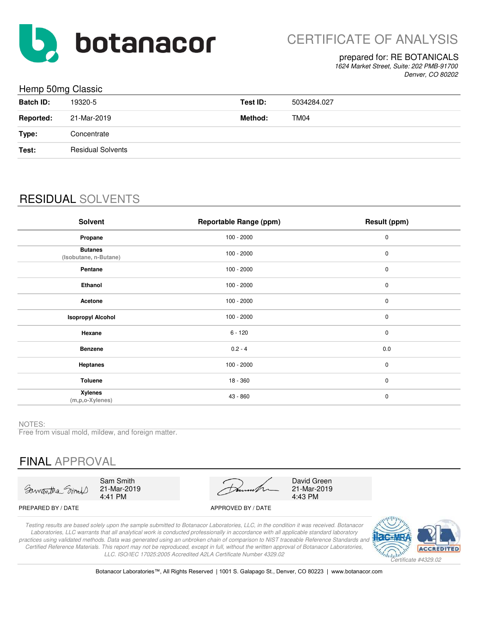

#### prepared for: RE BOTANICALS

*1624 Market Street, Suite: 202 PMB-91700 Denver, CO 80202*

### Hemp 50mg Classic

| ن - - - - -      | - - - - -                |          |             |
|------------------|--------------------------|----------|-------------|
| <b>Batch ID:</b> | 19320-5                  | Test ID: | 5034284.027 |
| <b>Reported:</b> | 21-Mar-2019              | Method:  | TM04        |
| Type:            | Concentrate              |          |             |
| Test:            | <b>Residual Solvents</b> |          |             |
|                  |                          |          |             |

# RESIDUAL SOLVENTS

| <b>Solvent</b>                          | <b>Reportable Range (ppm)</b> | Result (ppm) |
|-----------------------------------------|-------------------------------|--------------|
| Propane                                 | $100 - 2000$                  | 0            |
| <b>Butanes</b><br>(Isobutane, n-Butane) | $100 - 2000$                  | $\mathbf 0$  |
| Pentane                                 | $100 - 2000$                  | $\pmb{0}$    |
| Ethanol                                 | $100 - 2000$                  | $\pmb{0}$    |
| Acetone                                 | $100 - 2000$                  | 0            |
| <b>Isopropyl Alcohol</b>                | $100 - 2000$                  | 0            |
| Hexane                                  | $6 - 120$                     | $\mathbf 0$  |
| <b>Benzene</b>                          | $0.2 - 4$                     | 0.0          |
| <b>Heptanes</b>                         | $100 - 2000$                  | $\mathbf 0$  |
| <b>Toluene</b>                          | 18 - 360                      | $\mathbf 0$  |
| <b>Xylenes</b><br>(m,p,o-Xylenes)       | 43 - 860                      | $\mathbf 0$  |

NOTES:

Free from visual mold, mildew, and foreign matter.

# FINAL APPROVAL

Samantha Smil

Sam Smith 21-Mar-2019 4:41 PM

21-Mar-2019 4:43 PM David Green

#### PREPARED BY / DATE APPROVED BY / DATE

*Testing results are based solely upon the sample submitted to Botanacor Laboratories, LLC, in the condition it was received. Botanacor Laboratories, LLC warrants that all analytical work is conducted professionally in accordance with all applicable standard laboratory practices using validated methods. Data was generated using an unbroken chain of comparison to NIST traceable Reference Standards and Certified Reference Materials. This report may not be reproduced, except in full, without the written approval of Botanacor Laboratories, LLC. ISO/IEC 17025:2005 Accredited A2LA Certificate Number 4329.02*



Botanacor Laboratories™, All Rights Reserved | 1001 S. Galapago St., Denver, CO 80223 | www.botanacor.com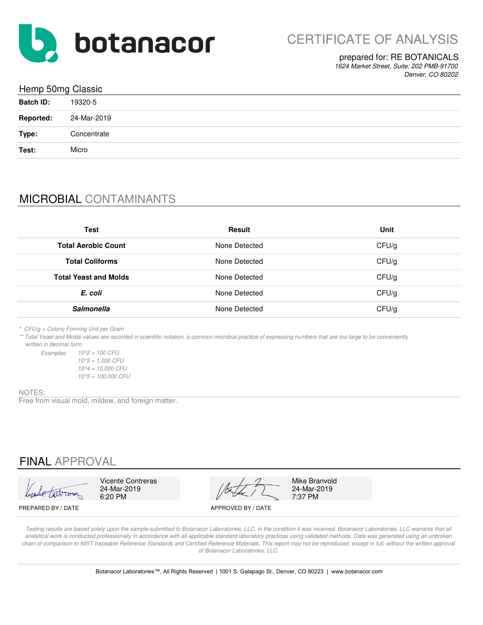

#### prepared for: RE BOTANICALS

*1624 Market Street, Suite: 202 PMB-91700 Denver, CO 80202*

| Hemp 50mg Classic               |  |  |  |
|---------------------------------|--|--|--|
| <b>Batch ID:</b><br>19320-5     |  |  |  |
| <b>Reported:</b><br>24-Mar-2019 |  |  |  |
| Type:<br>Concentrate            |  |  |  |
| Test:<br>Micro                  |  |  |  |

# MICROBIAL CONTAMINANTS

| Test                         | <b>Result</b> | Unit  |
|------------------------------|---------------|-------|
| <b>Total Aerobic Count</b>   | None Detected | CFU/g |
| <b>Total Coliforms</b>       | None Detected | CFU/g |
| <b>Total Yeast and Molds</b> | None Detected | CFU/g |
| E. coli                      | None Detected | CFU/g |
| <b>Salmonella</b>            | None Detected | CFU/g |

*\* CFU/g = Colony Forming Unit per Gram*

*\*\* Total Yeast and Molds values are recorded in scientific notation, a common microbial practice of expressing numbers that are too large to be conveniently written in decimal form.*

*Examples: 10^2 = 100 CFU 10^5 = 100,000 CFU 10^3 = 1,000 CFU 10^4 = 10,000 CFU*

#### NOTES:

Free from visual mold, mildew, and foreign matter.

## FINAL APPROVAL

Vicente Contreras Mike Branvold<br>24-Mar-2019 24-Mar-2019 24-Mar-2019 24-Mar-2019 24-Mar-2019 6:20 PM  $\sqrt{2}$  7:37 PM

PREPARED BY / DATE APPROVED BY / DATE

*Testing results are based solely upon the sample submitted to Botanacor Laboratories, LLC, in the condition it was received. Botanacor Laboratories, LLC warrants that all*  analytical work is conducted professionally in accordance with all applicable standard laboratory practices using validated methods. Data was generated using an unbroken chain of comparison to NIST traceable Reference Standards and Certified Reference Materials. This report may not be reproduced, except in full, without the written approval *of Botanacor Laboratories, LLC.*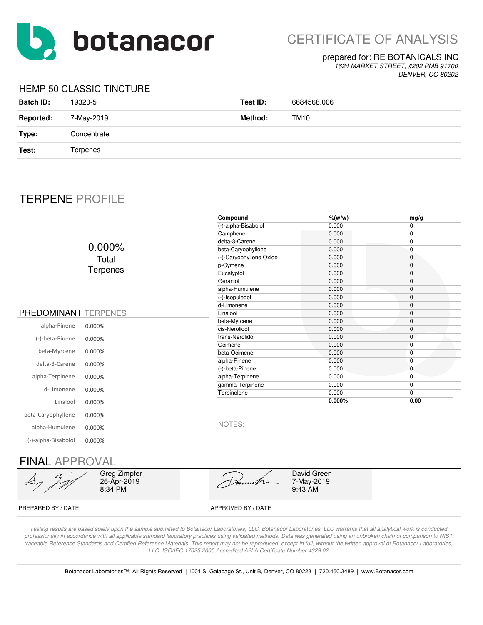

# CERTIFICATE OF ANALYSIS

#### prepared for: RE BOTANICALS INC

*1624 MARKET STREET, #202 PMB 91700 DENVER, CO 80202*

### HEMP 50 CLASSIC TINCTURE

| <b>Batch ID:</b> | 19320-5     | Test ID: | 6684568.006 |
|------------------|-------------|----------|-------------|
| <b>Reported:</b> | 7-May-2019  | Method:  | TM10        |
| Type:            | Concentrate |          |             |
| Test:            | Terpenes    |          |             |

## TERPENE PROFILE

|                             |                 | Compound                | $%$ (w/w) | mg/g         |
|-----------------------------|-----------------|-------------------------|-----------|--------------|
|                             |                 | (-)-alpha-Bisabolol     | 0.000     | 0            |
|                             |                 | Camphene                | 0.000     | 0            |
|                             |                 | delta-3-Carene          | 0.000     | $\mathbf 0$  |
|                             | $0.000\%$       | beta-Caryophyllene      | 0.000     | 0            |
|                             | Total           | (-)-Caryophyllene Oxide | 0.000     | 0            |
|                             |                 | p-Cymene                | 0.000     | $\mathbf 0$  |
|                             | <b>Terpenes</b> | Eucalyptol              | 0.000     | $\mathbf 0$  |
|                             |                 | Geraniol                | 0.000     | 0            |
|                             |                 | alpha-Humulene          | 0.000     | 0            |
|                             |                 | (-)-Isopulegol          | 0.000     | 0            |
|                             |                 | d-Limonene              | 0.000     | 0            |
| <b>PREDOMINANT TERPENES</b> |                 | Linalool                | 0.000     | $\mathbf 0$  |
|                             |                 | beta-Myrcene            | 0.000     | 0            |
| alpha-Pinene                | 0.000%          | cis-Nerolidol           | 0.000     | 0            |
| (-)-beta-Pinene             | 0.000%          | trans-Nerolidol         | 0.000     | $\mathbf 0$  |
|                             |                 | Ocimene                 | 0.000     | $\mathbf{0}$ |
| beta-Myrcene                | 0.000%          | beta-Ocimene            | 0.000     | 0            |
| delta-3-Carene              | 0.000%          | alpha-Pinene            | 0.000     | 0            |
|                             |                 | (-)-beta-Pinene         | 0.000     | $\mathbf{0}$ |
| alpha-Terpinene             | 0.000%          | alpha-Terpinene         | 0.000     | $\mathbf 0$  |
| d-Limonene                  |                 | gamma-Terpinene         | 0.000     | $\mathbf 0$  |
|                             | 0.000%          | Terpinolene             | 0.000     | 0            |
| Linalool                    | 0.000%          |                         | 0.000%    | 0.00         |
| beta-Caryophyllene          | 0.000%          |                         |           |              |
| alpha-Humulene              | 0.000%          | NOTES:                  |           |              |
| (-)-alpha-Bisabolol         | 0.000%          |                         |           |              |
|                             |                 |                         |           |              |

### FINAL APPROVAL

Greg Zimpfer 26-Apr-2019 8:34 PM

David Green 7-May-2019 9:43 AM

PREPARED BY / DATE APPROVED BY / DATE

*Testing results are based solely upon the sample submitted to Botanacor Laboratories, LLC. Botanacor Laboratories, LLC warrants that all analytical work is conducted professionally in accordance with all applicable standard laboratory practices using validated methods. Data was generated using an unbroken chain of comparison to NIST*  traceable Reference Standards and Certified Reference Materials. This report may not be reproduced, except in full, without the written approval of Botanacor Laboratories, *LLC. ISO/IEC 17025:2005 Accredited A2LA Certificate Number 4329.02*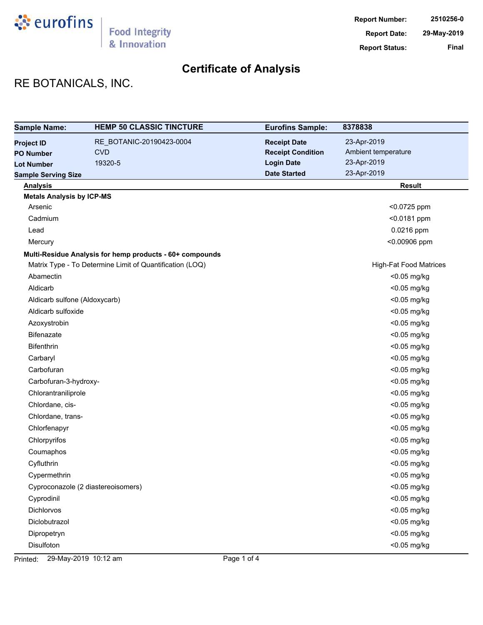

# RE BOTANICALS, INC.

| <b>Sample Name:</b>              | <b>HEMP 50 CLASSIC TINCTURE</b>                          | <b>Eurofins Sample:</b>  | 8378838                       |
|----------------------------------|----------------------------------------------------------|--------------------------|-------------------------------|
| <b>Project ID</b>                | RE_BOTANIC-20190423-0004                                 | <b>Receipt Date</b>      | 23-Apr-2019                   |
| <b>PO Number</b>                 | <b>CVD</b>                                               | <b>Receipt Condition</b> | Ambient temperature           |
| <b>Lot Number</b>                | 19320-5                                                  | <b>Login Date</b>        | 23-Apr-2019                   |
| <b>Sample Serving Size</b>       |                                                          | <b>Date Started</b>      | 23-Apr-2019                   |
| <b>Analysis</b>                  |                                                          |                          | <b>Result</b>                 |
| <b>Metals Analysis by ICP-MS</b> |                                                          |                          |                               |
| Arsenic                          |                                                          |                          | <0.0725 ppm                   |
| Cadmium                          |                                                          |                          | <0.0181 ppm                   |
| Lead                             |                                                          |                          | 0.0216 ppm                    |
| Mercury                          |                                                          |                          | <0.00906 ppm                  |
|                                  | Multi-Residue Analysis for hemp products - 60+ compounds |                          |                               |
|                                  | Matrix Type - To Determine Limit of Quantification (LOQ) |                          | <b>High-Fat Food Matrices</b> |
| Abamectin                        |                                                          |                          | <0.05 mg/kg                   |
| Aldicarb                         |                                                          |                          | <0.05 mg/kg                   |
| Aldicarb sulfone (Aldoxycarb)    |                                                          |                          | <0.05 mg/kg                   |
| Aldicarb sulfoxide               |                                                          |                          | <0.05 mg/kg                   |
| Azoxystrobin                     |                                                          |                          | <0.05 mg/kg                   |
| Bifenazate                       |                                                          |                          | <0.05 mg/kg                   |
| Bifenthrin                       |                                                          |                          | <0.05 mg/kg                   |
| Carbaryl                         |                                                          |                          | <0.05 mg/kg                   |
| Carbofuran                       |                                                          |                          | <0.05 mg/kg                   |
| Carbofuran-3-hydroxy-            |                                                          |                          | <0.05 mg/kg                   |
| Chlorantraniliprole              |                                                          |                          | <0.05 mg/kg                   |
| Chlordane, cis-                  |                                                          |                          | <0.05 mg/kg                   |
| Chlordane, trans-                |                                                          |                          | <0.05 mg/kg                   |
| Chlorfenapyr                     |                                                          |                          | <0.05 mg/kg                   |
| Chlorpyrifos                     |                                                          |                          | <0.05 mg/kg                   |
| Coumaphos                        |                                                          |                          | <0.05 mg/kg                   |
| Cyfluthrin                       |                                                          |                          | <0.05 mg/kg                   |
| Cypermethrin                     |                                                          |                          | <0.05 mg/kg                   |
|                                  | Cyproconazole (2 diastereoisomers)                       |                          | <0.05 mg/kg                   |
| Cyprodinil                       |                                                          |                          | <0.05 mg/kg                   |
| <b>Dichlorvos</b>                |                                                          |                          | <0.05 mg/kg                   |
| Diclobutrazol                    |                                                          |                          | <0.05 mg/kg                   |
| Dipropetryn                      |                                                          |                          | <0.05 mg/kg                   |
| Disulfoton                       |                                                          |                          | <0.05 mg/kg                   |

Printed: 29-May-2019 10:12 am Page 1 of 4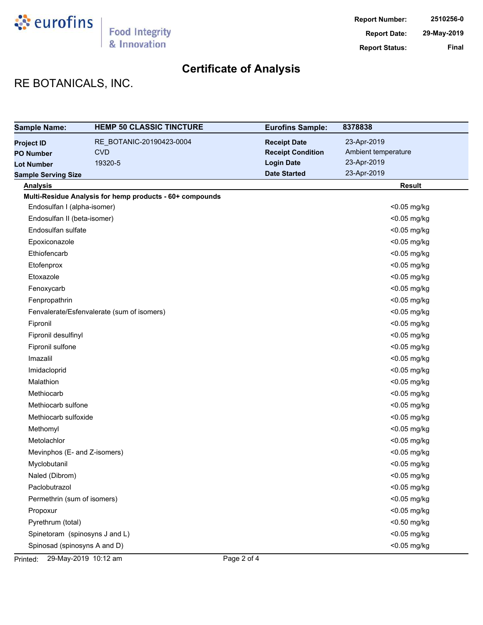

# RE BOTANICALS, INC.

| <b>Sample Name:</b>            | <b>HEMP 50 CLASSIC TINCTURE</b>                          | <b>Eurofins Sample:</b>  | 8378838             |
|--------------------------------|----------------------------------------------------------|--------------------------|---------------------|
| <b>Project ID</b>              | RE_BOTANIC-20190423-0004                                 | <b>Receipt Date</b>      | 23-Apr-2019         |
| <b>PO Number</b>               | <b>CVD</b>                                               | <b>Receipt Condition</b> | Ambient temperature |
| <b>Lot Number</b>              | 19320-5                                                  | <b>Login Date</b>        | 23-Apr-2019         |
| <b>Sample Serving Size</b>     |                                                          | <b>Date Started</b>      | 23-Apr-2019         |
| <b>Analysis</b>                |                                                          |                          | <b>Result</b>       |
|                                | Multi-Residue Analysis for hemp products - 60+ compounds |                          |                     |
| Endosulfan I (alpha-isomer)    |                                                          |                          | <0.05 mg/kg         |
| Endosulfan II (beta-isomer)    |                                                          |                          | <0.05 mg/kg         |
| Endosulfan sulfate             |                                                          |                          | <0.05 mg/kg         |
| Epoxiconazole                  |                                                          |                          | <0.05 mg/kg         |
| Ethiofencarb                   |                                                          |                          | <0.05 mg/kg         |
| Etofenprox                     |                                                          |                          | <0.05 mg/kg         |
| Etoxazole                      |                                                          |                          | <0.05 mg/kg         |
| Fenoxycarb                     |                                                          |                          | <0.05 mg/kg         |
| Fenpropathrin                  |                                                          |                          | <0.05 mg/kg         |
|                                | Fenvalerate/Esfenvalerate (sum of isomers)               |                          | <0.05 mg/kg         |
| Fipronil                       |                                                          |                          | <0.05 mg/kg         |
| Fipronil desulfinyl            |                                                          |                          | <0.05 mg/kg         |
| Fipronil sulfone               |                                                          |                          | <0.05 mg/kg         |
| Imazalil                       |                                                          |                          | <0.05 mg/kg         |
| Imidacloprid                   |                                                          |                          | <0.05 mg/kg         |
| Malathion                      |                                                          |                          | <0.05 mg/kg         |
| Methiocarb                     |                                                          |                          | <0.05 mg/kg         |
| Methiocarb sulfone             |                                                          |                          | <0.05 mg/kg         |
| Methiocarb sulfoxide           |                                                          |                          | <0.05 mg/kg         |
| Methomyl                       |                                                          |                          | <0.05 mg/kg         |
| Metolachlor                    |                                                          |                          | <0.05 mg/kg         |
| Mevinphos (E- and Z-isomers)   |                                                          |                          | <0.05 mg/kg         |
| Myclobutanil                   |                                                          |                          | <0.05 mg/kg         |
| Naled (Dibrom)                 |                                                          |                          | <0.05 mg/kg         |
| Paclobutrazol                  |                                                          |                          | $<$ 0.05 mg/kg      |
| Permethrin (sum of isomers)    |                                                          |                          | <0.05 mg/kg         |
| Propoxur                       |                                                          |                          | <0.05 mg/kg         |
| Pyrethrum (total)              |                                                          |                          | <0.50 mg/kg         |
| Spinetoram (spinosyns J and L) |                                                          |                          | <0.05 mg/kg         |
| Spinosad (spinosyns A and D)   |                                                          |                          | <0.05 mg/kg         |

Printed: 29-May-2019 10:12 am Page 2 of 4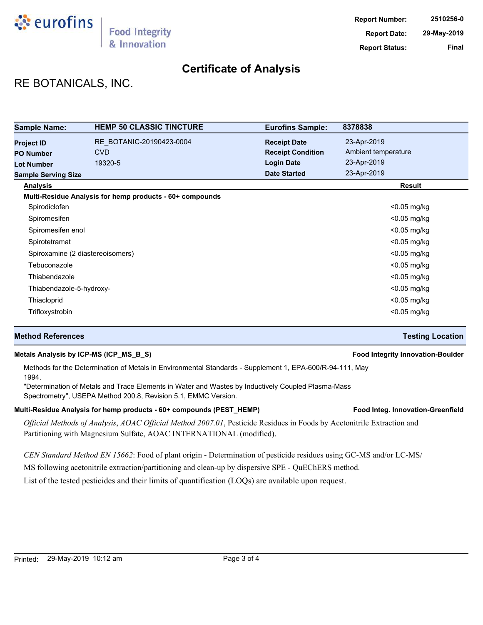

# RE BOTANICALS, INC.

| <b>Sample Name:</b>              | <b>HEMP 50 CLASSIC TINCTURE</b>                          | <b>Eurofins Sample:</b>  | 8378838             |
|----------------------------------|----------------------------------------------------------|--------------------------|---------------------|
| <b>Project ID</b>                | RE BOTANIC-20190423-0004                                 | <b>Receipt Date</b>      | 23-Apr-2019         |
| <b>PO Number</b>                 | <b>CVD</b>                                               | <b>Receipt Condition</b> | Ambient temperature |
| <b>Lot Number</b>                | 19320-5                                                  | <b>Login Date</b>        | 23-Apr-2019         |
| <b>Sample Serving Size</b>       |                                                          | <b>Date Started</b>      | 23-Apr-2019         |
| <b>Analysis</b>                  |                                                          |                          | Result              |
|                                  | Multi-Residue Analysis for hemp products - 60+ compounds |                          |                     |
| Spirodiclofen                    |                                                          |                          | $<$ 0.05 mg/kg      |
| Spiromesifen                     |                                                          |                          | $<$ 0.05 mg/kg      |
| Spiromesifen enol                |                                                          |                          | $<$ 0.05 mg/kg      |
| Spirotetramat                    |                                                          |                          | <0.05 mg/kg         |
| Spiroxamine (2 diastereoisomers) |                                                          |                          | $<$ 0.05 mg/kg      |
| Tebuconazole                     |                                                          |                          | $<$ 0.05 mg/kg      |
| Thiabendazole                    |                                                          |                          | $<$ 0.05 mg/kg      |
| Thiabendazole-5-hydroxy-         |                                                          |                          | <0.05 mg/kg         |
| Thiacloprid                      |                                                          |                          | <0.05 mg/kg         |
| Trifloxystrobin                  |                                                          |                          | $<$ 0.05 mg/kg      |

#### **Method References Testing Location**

#### **Metals Analysis by ICP-MS (ICP\_MS\_B\_S) Food Integrity Innovation-Boulder**

Methods for the Determination of Metals in Environmental Standards - Supplement 1, EPA-600/R-94-111, May 1994.

"Determination of Metals and Trace Elements in Water and Wastes by Inductively Coupled Plasma-Mass Spectrometry", USEPA Method 200.8, Revision 5.1, EMMC Version.

#### Multi-Residue Analysis for hemp products - 60+ compounds (PEST\_HEMP) **Food Integ. Innovation-Greenfield**

*Official Methods of Analysis*, *AOAC Official Method 2007.01*, Pesticide Residues in Foods by Acetonitrile Extraction and Partitioning with Magnesium Sulfate, AOAC INTERNATIONAL (modified).

*CEN Standard Method EN 15662*: Food of plant origin - Determination of pesticide residues using GC-MS and/or LC-MS/

MS following acetonitrile extraction/partitioning and clean-up by dispersive SPE - QuEChERS method.

List of the tested pesticides and their limits of quantification (LOQs) are available upon request.